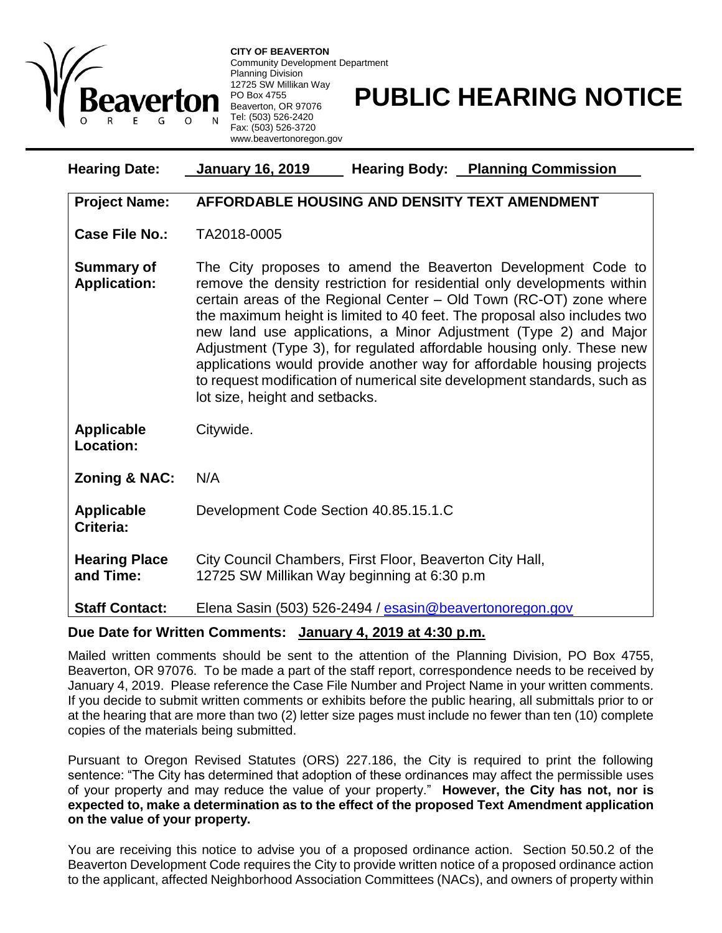

**CITY OF BEAVERTON** Community Development Department Planning Division 12725 SW Millikan Way PO Box 4755 Beaverton, OR 97076 Tel: (503) 526-2420 Fax: (503) 526-3720 www.beavertonoregon.gov

## **PUBLIC HEARING NOTICE**

| <b>Hearing Date:</b>                     | <u>January 16, 2019</u><br><b>Hearing Body:</b> Planning Commission                                                                                                                                                                                                                                                                                                                                                                                                                                                                                                                                                            |
|------------------------------------------|--------------------------------------------------------------------------------------------------------------------------------------------------------------------------------------------------------------------------------------------------------------------------------------------------------------------------------------------------------------------------------------------------------------------------------------------------------------------------------------------------------------------------------------------------------------------------------------------------------------------------------|
| <b>Project Name:</b>                     | AFFORDABLE HOUSING AND DENSITY TEXT AMENDMENT                                                                                                                                                                                                                                                                                                                                                                                                                                                                                                                                                                                  |
| Case File No.:                           | TA2018-0005                                                                                                                                                                                                                                                                                                                                                                                                                                                                                                                                                                                                                    |
| <b>Summary of</b><br><b>Application:</b> | The City proposes to amend the Beaverton Development Code to<br>remove the density restriction for residential only developments within<br>certain areas of the Regional Center - Old Town (RC-OT) zone where<br>the maximum height is limited to 40 feet. The proposal also includes two<br>new land use applications, a Minor Adjustment (Type 2) and Major<br>Adjustment (Type 3), for regulated affordable housing only. These new<br>applications would provide another way for affordable housing projects<br>to request modification of numerical site development standards, such as<br>lot size, height and setbacks. |
| <b>Applicable</b><br>Location:           | Citywide.                                                                                                                                                                                                                                                                                                                                                                                                                                                                                                                                                                                                                      |
| <b>Zoning &amp; NAC:</b>                 | N/A                                                                                                                                                                                                                                                                                                                                                                                                                                                                                                                                                                                                                            |
| <b>Applicable</b><br>Criteria:           | Development Code Section 40.85.15.1.C                                                                                                                                                                                                                                                                                                                                                                                                                                                                                                                                                                                          |
| <b>Hearing Place</b><br>and Time:        | City Council Chambers, First Floor, Beaverton City Hall,<br>12725 SW Millikan Way beginning at 6:30 p.m                                                                                                                                                                                                                                                                                                                                                                                                                                                                                                                        |
| <b>Staff Contact:</b>                    | Elena Sasin (503) 526-2494 / esasin@beavertonoregon.gov                                                                                                                                                                                                                                                                                                                                                                                                                                                                                                                                                                        |

## **Due Date for Written Comments: January 4, 2019 at 4:30 p.m.**

Mailed written comments should be sent to the attention of the Planning Division, PO Box 4755, Beaverton, OR 97076. To be made a part of the staff report, correspondence needs to be received by January 4, 2019. Please reference the Case File Number and Project Name in your written comments. If you decide to submit written comments or exhibits before the public hearing, all submittals prior to or at the hearing that are more than two (2) letter size pages must include no fewer than ten (10) complete copies of the materials being submitted.

Pursuant to Oregon Revised Statutes (ORS) 227.186, the City is required to print the following sentence: "The City has determined that adoption of these ordinances may affect the permissible uses of your property and may reduce the value of your property." **However, the City has not, nor is expected to, make a determination as to the effect of the proposed Text Amendment application on the value of your property.**

You are receiving this notice to advise you of a proposed ordinance action. Section 50.50.2 of the Beaverton Development Code requires the City to provide written notice of a proposed ordinance action to the applicant, affected Neighborhood Association Committees (NACs), and owners of property within